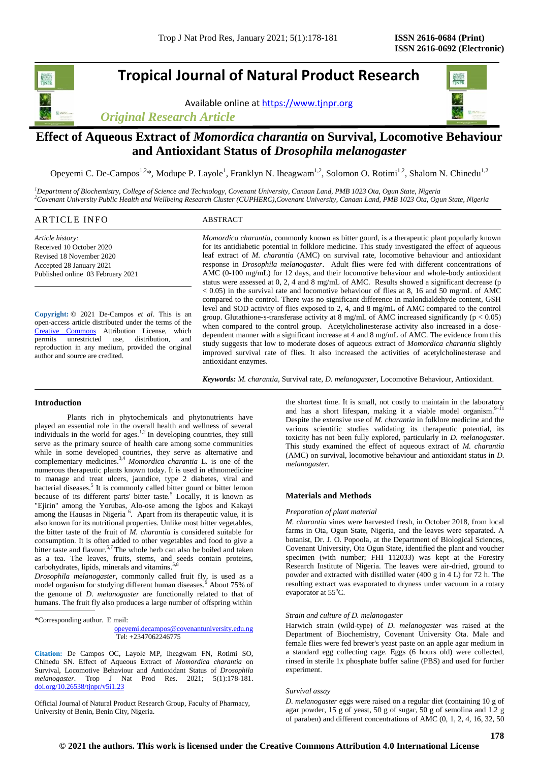# **Tropical Journal of Natural Product Research**

Available online a[t https://www.tjnpr.org](https://www.tjnpr.org/)



# **Effect of Aqueous Extract of** *Momordica charantia* **on Survival, Locomotive Behaviour and Antioxidant Status of** *Drosophila melanogaster*

Opeyemi C. De-Campos<sup>1,2\*</sup>, Modupe P. Layole<sup>1</sup>, Franklyn N. Iheagwam<sup>1,2</sup>, Solomon O. Rotimi<sup>1,2</sup>, Shalom N. Chinedu<sup>1,2</sup>

*<sup>1</sup>Department of Biochemistry, College of Science and Technology, Covenant University, Canaan Land, PMB 1023 Ota, Ogun State, Nigeria <sup>2</sup>Covenant University Public Health and Wellbeing Research Cluster (CUPHERC),Covenant University, Canaan Land, PMB 1023 Ota, Ogun State, Nigeria*

| ART<br><b>JEC</b><br>the contract of the contract of the contract of the contract of the contract of the contract of the contract of | $\sim$<br>D CTD.<br>'KAL |  |
|--------------------------------------------------------------------------------------------------------------------------------------|--------------------------|--|
|                                                                                                                                      |                          |  |

*Article history:* Received 10 October 2020 Revised 18 November 2020 Accepted 28 January 2021 Published online 03 February 2021

**Copyright:** © 2021 De-Campos *et al*. This is an open-access article distributed under the terms of the [Creative Commons](https://creativecommons.org/licenses/by/4.0/) Attribution License, which permits unrestricted use, distribution, and reproduction in any medium, provided the original author and source are credited.

*Momordica charantia*, commonly known as bitter gourd, is a therapeutic plant popularly known for its antidiabetic potential in folklore medicine. This study investigated the effect of aqueous leaf extract of *M. charantia* (AMC) on survival rate, locomotive behaviour and antioxidant response in *Drosophila melanogaster*. Adult flies were fed with different concentrations of AMC (0-100 mg/mL) for 12 days, and their locomotive behaviour and whole-body antioxidant status were assessed at 0, 2, 4 and 8 mg/mL of AMC. Results showed a significant decrease (p < 0.05) in the survival rate and locomotive behaviour of flies at 8, 16 and 50 mg/mL of AMC compared to the control. There was no significant difference in malondialdehyde content, GSH level and SOD activity of flies exposed to 2, 4, and 8 mg/mL of AMC compared to the control group. Glutathione-s-transferase activity at 8 mg/mL of AMC increased significantly ( $p < 0.05$ ) when compared to the control group. Acetylcholinesterase activity also increased in a dosedependent manner with a significant increase at 4 and 8 mg/mL of AMC. The evidence from this study suggests that low to moderate doses of aqueous extract of *Momordica charantia* slightly improved survival rate of flies. It also increased the activities of acetylcholinesterase and antioxidant enzymes.

*Keywords: M. charantia,* Survival rate, *D. melanogaster,* Locomotive Behaviour, Antioxidant.

# **Introduction**

Plants rich in phytochemicals and phytonutrients have played an essential role in the overall health and wellness of several individuals in the world for ages.<sup>1,2</sup> In developing countries, they still serve as the primary source of health care among some communities while in some developed countries, they serve as alternative and complementary medicines.3,4 *Momordica charantia* L. is one of the numerous therapeutic plants known today. It is used in ethnomedicine to manage and treat ulcers, jaundice, type 2 diabetes, viral and bacterial diseases. 5 It is commonly called bitter gourd or bitter lemon because of its different parts' bitter taste.<sup>5</sup> Locally, it is known as "Ejirin" among the Yorubas, Alo-ose among the Igbos and Kakayi among the Hausas in Nigeria<sup>6</sup>. Apart from its therapeutic value, it is also known for its nutritional properties. Unlike most bitter vegetables, the bitter taste of the fruit of *M. charantia* is considered suitable for consumption. It is often added to other vegetables and food to give a bitter taste and flavour.<sup>5,7</sup> The whole herb can also be boiled and taken as a tea. The leaves, fruits, stems, and seeds contain proteins, carbohydrates, lipids, minerals and vitamins.<sup>5,8</sup>

*Drosophila melanogaster*, commonly called fruit fly, is used as a model organism for studying different human diseases.<sup>9</sup> About 75% of the genome of *D. melanogaster* are functionally related to that of humans. The fruit fly also produces a large number of offspring within

\*Corresponding author. E mail:

 [opeyemi.decampos@covenantuniversity.edu.ng](mailto:opeyemi.decampos@covenantuniversity.edu.ng) Tel: +2347062246775

**Citation:** De Campos OC, Layole MP, Iheagwam FN, Rotimi SO, Chinedu SN. Effect of Aqueous Extract of *Momordica charantia* on Survival, Locomotive Behaviour and Antioxidant Status of *Drosophila melanogaster.* Trop J Nat Prod Res. 2021; 5(1):178-181. [doi.org/10.26538/tjnpr/v5i1.2](http://www.doi.org/10.26538/tjnpr/v1i4.5)3

Official Journal of Natural Product Research Group, Faculty of Pharmacy, University of Benin, Benin City, Nigeria.

the shortest time. It is small, not costly to maintain in the laboratory and has a short lifespan, making it a viable model organism.<sup>9-11</sup> Despite the extensive use of *M. charantia* in folklore medicine and the various scientific studies validating its therapeutic potential, its toxicity has not been fully explored, particularly in *D. melanogaster*. This study examined the effect of aqueous extract of *M. charantia* (AMC) on survival, locomotive behaviour and antioxidant status in *D. melanogaster.* 

# **Materials and Methods**

#### *Preparation of plant material*

*M. charantia* vines were harvested fresh, in October 2018, from local farms in Ota, Ogun State, Nigeria, and the leaves were separated. A botanist, Dr. J. O. Popoola, at the Department of Biological Sciences, Covenant University, Ota Ogun State, identified the plant and voucher specimen (with number; FHI 112033) was kept at the Forestry Research Institute of Nigeria. The leaves were air-dried, ground to powder and extracted with distilled water (400 g in 4 L) for 72 h. The resulting extract was evaporated to dryness under vacuum in a rotary evaporator at  $55^{\circ}$ C.

#### *Strain and culture of D. melanogaster*

Harwich strain (wild-type) of *D. melanogaster* was raised at the Department of Biochemistry, Covenant University Ota. Male and female flies were fed brewer's yeast paste on an apple agar medium in a standard egg collecting cage. Eggs (6 hours old) were collected, rinsed in sterile 1x phosphate buffer saline (PBS) and used for further experiment.

### *Survival assay*

*D. melanogaster* eggs were raised on a regular diet (containing 10 g of agar powder, 15 g of yeast, 50 g of sugar, 50 g of semolina and 1.2 g of paraben) and different concentrations of AMC (0, 1, 2, 4, 16, 32, 50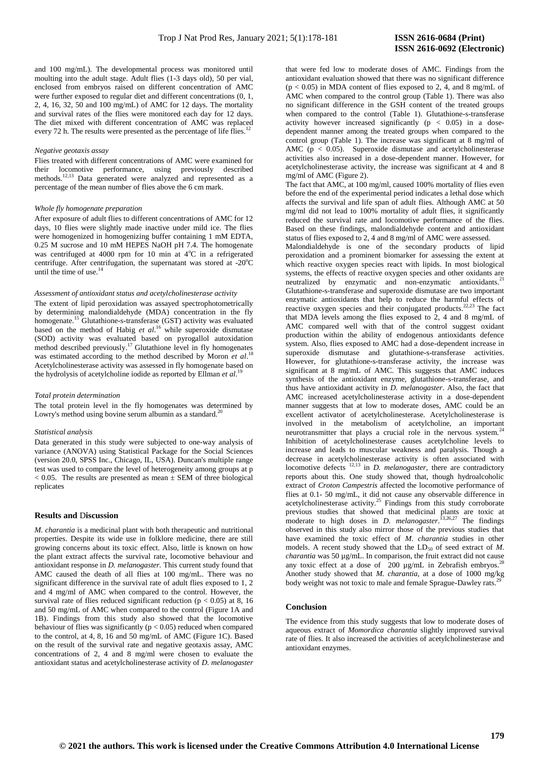and 100 mg/mL). The developmental process was monitored until moulting into the adult stage. Adult flies (1-3 days old), 50 per vial, enclosed from embryos raised on different concentration of AMC were further exposed to regular diet and different concentrations (0, 1, 2, 4, 16, 32, 50 and 100 mg/mL) of AMC for 12 days. The mortality and survival rates of the flies were monitored each day for 12 days. The diet mixed with different concentration of AMC was replaced every 72 h. The results were presented as the percentage of life flies.

### *Negative geotaxis assay*

Flies treated with different concentrations of AMC were examined for their locomotive performance, using previously described methods.<sup>12,13</sup> Data generated were analyzed and represented as a percentage of the mean number of flies above the 6 cm mark.

# *Whole fly homogenate preparation*

After exposure of adult flies to different concentrations of AMC for 12 days, 10 flies were slightly made inactive under mild ice. The flies were homogenized in homogenizing buffer containing 1 mM EDTA, 0.25 M sucrose and 10 mM HEPES NaOH pH 7.4. The homogenate was centrifuged at 4000 rpm for 10 min at  $4^{\circ}$ C in a refrigerated centrifuge. After centrifugation, the supernatant was stored at  $-20^{\circ}$ C until the time of use. $14$ 

#### *Assessment of antioxidant status and acetylcholinesterase activity*

The extent of lipid peroxidation was assayed spectrophotometrically by determining malondialdehyde (MDA) concentration in the fly homogenate.<sup>15</sup> Glutathione-s-transferase (GST) activity was evaluated based on the method of Habig *et al*. <sup>16</sup> while superoxide dismutase (SOD) activity was evaluated based on pyrogallol autoxidation method described previously. <sup>17</sup> Glutathione level in fly homogenates was estimated according to the method described by Moron *et al*. 18 Acetylcholinesterase activity was assessed in fly homogenate based on the hydrolysis of acetylcholine iodide as reported by Ellman *et al*. 19

#### *Total protein determination*

The total protein level in the fly homogenates was determined by Lowry's method using bovine serum albumin as a standard.<sup>2</sup>

### *Statistical analysis*

Data generated in this study were subjected to one-way analysis of variance (ANOVA) using Statistical Package for the Social Sciences (version 20.0, SPSS Inc., Chicago, IL, USA). Duncan's multiple range test was used to compare the level of heterogeneity among groups at p  $< 0.05$ . The results are presented as mean  $\pm$  SEM of three biological replicates

# **Results and** D**iscussion**

*M. charantia* is a medicinal plant with both therapeutic and nutritional properties. Despite its wide use in folklore medicine, there are still growing concerns about its toxic effect. Also, little is known on how the plant extract affects the survival rate, locomotive behaviour and antioxidant response in *D. melanogaster.* This current study found that AMC caused the death of all flies at 100 mg/mL. There was no significant difference in the survival rate of adult flies exposed to 1, 2 and 4 mg/ml of AMC when compared to the control. However, the survival rate of flies reduced significant reduction ( $p < 0.05$ ) at 8, 16 and 50 mg/mL of AMC when compared to the control (Figure 1A and 1B). Findings from this study also showed that the locomotive behaviour of flies was significantly ( $p < 0.05$ ) reduced when compared to the control, at 4, 8, 16 and 50 mg/mL of AMC (Figure 1C). Based on the result of the survival rate and negative geotaxis assay, AMC concentrations of 2, 4 and 8 mg/ml were chosen to evaluate the antioxidant status and acetylcholinesterase activity of *D. melanogaster* that were fed low to moderate doses of AMC. Findings from the antioxidant evaluation showed that there was no significant difference  $(p < 0.05)$  in MDA content of flies exposed to 2, 4, and 8 mg/mL of AMC when compared to the control group (Table 1). There was also no significant difference in the GSH content of the treated groups when compared to the control (Table 1). Glutathione-s-transferase activity however increased significantly (p < 0.05) in a dosedependent manner among the treated groups when compared to the control group (Table 1). The increase was significant at 8 mg/ml of AMC ( $p < 0.05$ ). Superoxide dismutase and acetylcholinesterase activities also increased in a dose-dependent manner. However, for acetylcholinesterase activity, the increase was significant at 4 and 8 mg/ml of AMC (Figure 2).

The fact that AMC, at 100 mg/ml, caused 100% mortality of flies even before the end of the experimental period indicates a lethal dose which affects the survival and life span of adult flies. Although AMC at 50 mg/ml did not lead to 100% mortality of adult flies, it significantly reduced the survival rate and locomotive performance of the flies. Based on these findings, malondialdehyde content and antioxidant status of flies exposed to 2, 4 and 8 mg/ml of AMC were assessed.

Malondialdehyde is one of the secondary products of lipid peroxidation and a prominent biomarker for assessing the extent at which reactive oxygen species react with lipids. In most biological systems, the effects of reactive oxygen species and other oxidants are neutralized by enzymatic and non-enzymatic antioxidants.<sup>21</sup> Glutathione-s-transferase and superoxide dismutase are two important enzymatic antioxidants that help to reduce the harmful effects of reactive oxygen species and their conjugated products.<sup>22,23</sup> The fact that MDA levels among the flies exposed to 2, 4 and 8 mg/mL of AMC compared well with that of the control suggest oxidant production within the ability of endogenous antioxidants defence system. Also, flies exposed to AMC had a dose-dependent increase in superoxide dismutase and glutathione-s-transferase activities. However, for glutathione-s-transferase activity, the increase was significant at 8 mg/mL of AMC. This suggests that AMC induces synthesis of the antioxidant enzyme, glutathione-s-transferase, and thus have antioxidant activity in *D. melanogaster*. Also, the fact that AMC increased acetylcholinesterase activity in a dose-dependent manner suggests that at low to moderate doses, AMC could be an excellent activator of acetylcholinesterase. Acetylcholinesterase is involved in the metabolism of acetylcholine, an important neurotransmitter that plays a crucial role in the nervous system.<sup>24</sup> Inhibition of acetylcholinesterase causes acetylcholine levels to increase and leads to muscular weakness and paralysis. Though a decrease in acetylcholinesterase activity is often associated with locomotive defects 12,13 in *D. melanogaster,* there are contradictory reports about this. One study showed that, though hydroalcoholic extract of *Croton Campestris* affected the locomotive performance of flies at 0.1- 50 mg/mL, it did not cause any observable difference in acetylcholinesterase activity.<sup>25</sup> Findings from this study corroborate previous studies that showed that medicinal plants are toxic at moderate to high doses in *D. melanogaster*. 13,26,27 The findings observed in this study also mirror those of the previous studies that have examined the toxic effect of *M. charantia* studies in other models. A recent study showed that the LD<sub>50</sub> of seed extract of *M*. *charantia* was 50 µg/mL. In comparison, the fruit extract did not cause any toxic effect at a dose of 200  $\mu$ g/mL in Zebrafish embryos.<sup>21</sup> Another study showed that *M. charantia,* at a dose of 1000 mg/kg body weight was not toxic to male and female Sprague-Dawley rats.

# **Conclusion**

The evidence from this study suggests that low to moderate doses of aqueous extract of *Momordica charantia* slightly improved survival rate of flies. It also increased the activities of acetylcholinesterase and antioxidant enzymes.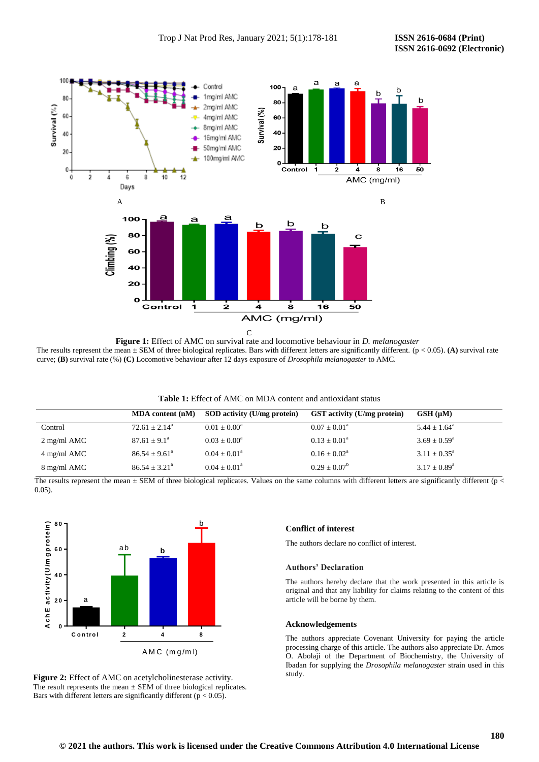

**Figure 1:** Effect of AMC on survival rate and locomotive behaviour in *D. melanogaster* The results represent the mean  $\pm$  SEM of three biological replicates. Bars with different letters are significantly different. ( $p < 0.05$ ). **(A)** survival rate curve; **(B)** survival rate (%) **(C)** Locomotive behaviour after 12 days exposure of *Drosophila melanogaster* to AMC.

| <b>Table 1:</b> Effect of AMC on MDA content and antioxidant status |  |
|---------------------------------------------------------------------|--|
|---------------------------------------------------------------------|--|

|                       | MDA content (nM)         | SOD activity (U/mg protein) | <b>GST</b> activity (U/mg protein) | $GSH(\mu M)$               |
|-----------------------|--------------------------|-----------------------------|------------------------------------|----------------------------|
| Control               | $72.61 \pm 2.14^{\circ}$ | $0.01 \pm 0.00^{\circ}$     | $0.07 \pm 0.01^{\text{a}}$         | $5.44 \pm 1.64^{\circ}$    |
| $2 \text{ mg/ml}$ AMC | $87.61 + 9.1^{\circ}$    | $0.03 + 0.00^a$             | $0.13 \pm 0.01^a$                  | $3.69 \pm 0.59^{\circ}$    |
| $4 \text{ mg/ml}$ AMC | $86.54 + 9.61^{\circ}$   | $0.04 + 0.01^a$             | $0.16 \pm 0.02^{\text{a}}$         | $3.11 \pm 0.35^{\circ}$    |
| 8 mg/ml AMC           | $86.54 \pm 3.21^{\circ}$ | $0.04 \pm 0.01^{\circ}$     | $0.29 \pm 0.07^b$                  | $3.17 \pm 0.89^{\text{a}}$ |

The results represent the mean  $\pm$  SEM of three biological replicates. Values on the same columns with different letters are significantly different (p < 0.05).



Figure 2: Effect of AMC on acetylcholinesterase activity. The result represents the mean  $\pm$  SEM of three biological replicates. Bars with different letters are significantly different ( $p < 0.05$ ).

# **Conflict of interest**

The authors declare no conflict of interest.

# **Authors' Declaration**

The authors hereby declare that the work presented in this article is original and that any liability for claims relating to the content of this article will be borne by them.

### **Acknowledgements**

The authors appreciate Covenant University for paying the article processing charge of this article. The authors also appreciate Dr. Amos O. Abolaji of the Department of Biochemistry, the University of Ibadan for supplying the *Drosophila melanogaster* strain used in this study.